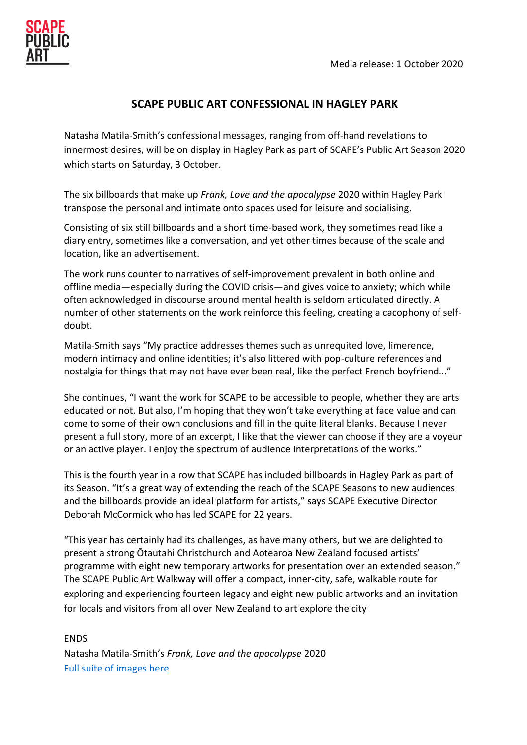# **SCAPE PUBLIC ART CONFESSIONAL IN HAGLEY PARK**

Natasha Matila-Smith's confessional messages, ranging from off-hand revelations to innermost desires, will be on display in Hagley Park as part of SCAPE's Public Art Season 2020 which starts on Saturday, 3 October.

The six billboards that make up *Frank, Love and the apocalypse* 2020 within Hagley Park transpose the personal and intimate onto spaces used for leisure and socialising.

Consisting of six still billboards and a short time-based work, they sometimes read like a diary entry, sometimes like a conversation, and yet other times because of the scale and location, like an advertisement.

The work runs counter to narratives of self-improvement prevalent in both online and offline media—especially during the COVID crisis—and gives voice to anxiety; which while often acknowledged in discourse around mental health is seldom articulated directly. A number of other statements on the work reinforce this feeling, creating a cacophony of selfdoubt.

Matila-Smith says "My practice addresses themes such as unrequited love, limerence, modern intimacy and online identities; it's also littered with pop-culture references and nostalgia for things that may not have ever been real, like the perfect French boyfriend..."

She continues, "I want the work for SCAPE to be accessible to people, whether they are arts educated or not. But also, I'm hoping that they won't take everything at face value and can come to some of their own conclusions and fill in the quite literal blanks. Because I never present a full story, more of an excerpt, I like that the viewer can choose if they are a voyeur or an active player. I enjoy the spectrum of audience interpretations of the works."

This is the fourth year in a row that SCAPE has included billboards in Hagley Park as part of its Season. "It's a great way of extending the reach of the SCAPE Seasons to new audiences and the billboards provide an ideal platform for artists," says SCAPE Executive Director Deborah McCormick who has led SCAPE for 22 years.

"This year has certainly had its challenges, as have many others, but we are delighted to present a strong Ōtautahi Christchurch and Aotearoa New Zealand focused artists' programme with eight new temporary artworks for presentation over an extended season." The SCAPE Public Art Walkway will offer a compact, inner-city, safe, walkable route for exploring and experiencing fourteen legacy and eight new public artworks and an invitation for locals and visitors from all over New Zealand to art explore the city

ENDS Natasha Matila-Smith's *Frank, Love and the apocalypse* 2020 [Full suite of images here](https://www.dropbox.com/sh/s6b3xqk9o0ntqjk/AADXV7kkO9fmq_IRYK1Iqsi3a?dl=0)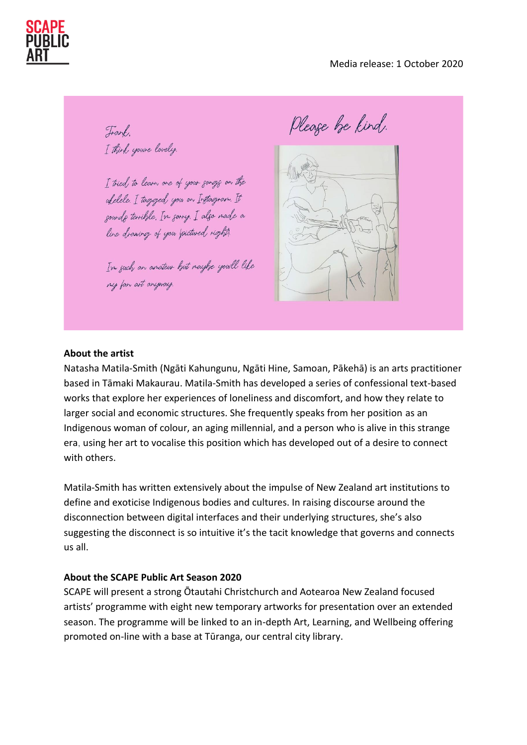Trank. I think you're lovely

I tried to learn one of your gongs on the ufelele. I tagged you on Instagram. It sounds terrible. In sorry. I also made a line drawings of your pictured right).

In such an anateur hut nayhe youll like my fan art anyway.

Pleage be kind.



#### **About the artist**

Natasha Matila-Smith (Ngāti Kahungunu, Ngāti Hine, Samoan, Pākehā) is an arts practitioner based in Tāmaki Makaurau. Matila-Smith has developed a series of confessional text-based works that explore her experiences of loneliness and discomfort, and how they relate to larger social and economic structures. She frequently speaks from her position as an Indigenous woman of colour, an aging millennial, and a person who is alive in this strange era, using her art to vocalise this position which has developed out of a desire to connect with others.

Matila-Smith has written extensively about the impulse of New Zealand art institutions to define and exoticise Indigenous bodies and cultures. In raising discourse around the disconnection between digital interfaces and their underlying structures, she's also suggesting the disconnect is so intuitive it's the tacit knowledge that governs and connects us all.

#### **About the SCAPE Public Art Season 2020**

SCAPE will present a strong Ōtautahi Christchurch and Aotearoa New Zealand focused artists' programme with eight new temporary artworks for presentation over an extended season. The programme will be linked to an in-depth Art, Learning, and Wellbeing offering promoted on-line with a base at Tūranga, our central city library.